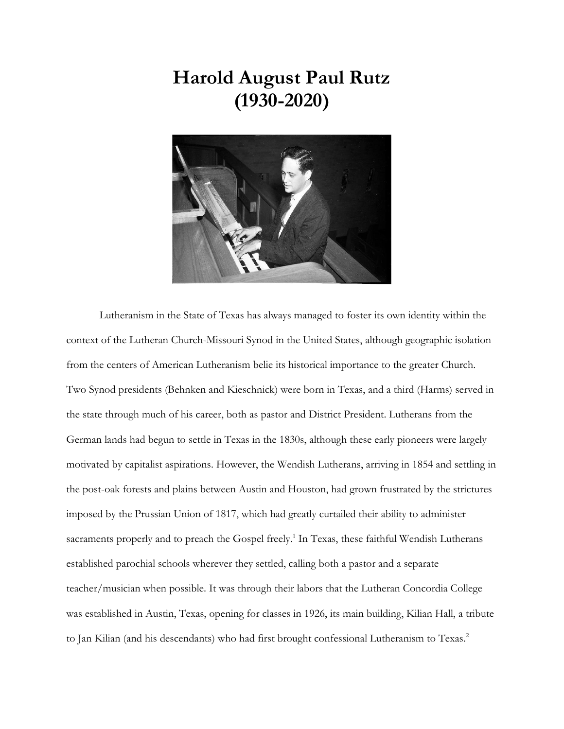## **Harold August Paul Rutz (1930-2020)**



Lutheranism in the State of Texas has always managed to foster its own identity within the context of the Lutheran Church-Missouri Synod in the United States, although geographic isolation from the centers of American Lutheranism belie its historical importance to the greater Church. Two Synod presidents (Behnken and Kieschnick) were born in Texas, and a third (Harms) served in the state through much of his career, both as pastor and District President. Lutherans from the German lands had begun to settle in Texas in the 1830s, although these early pioneers were largely motivated by capitalist aspirations. However, the Wendish Lutherans, arriving in 1854 and settling in the post-oak forests and plains between Austin and Houston, had grown frustrated by the strictures imposed by the Prussian Union of 1817, which had greatly curtailed their ability to administer sacraments properly and to preach the Gospel freely.<sup>1</sup> In Texas, these faithful Wendish Lutherans established parochial schools wherever they settled, calling both a pastor and a separate teacher/musician when possible. It was through their labors that the Lutheran Concordia College was established in Austin, Texas, opening for classes in 1926, its main building, Kilian Hall, a tribute to Jan Kilian (and his descendants) who had first brought confessional Lutheranism to Texas.<sup>2</sup>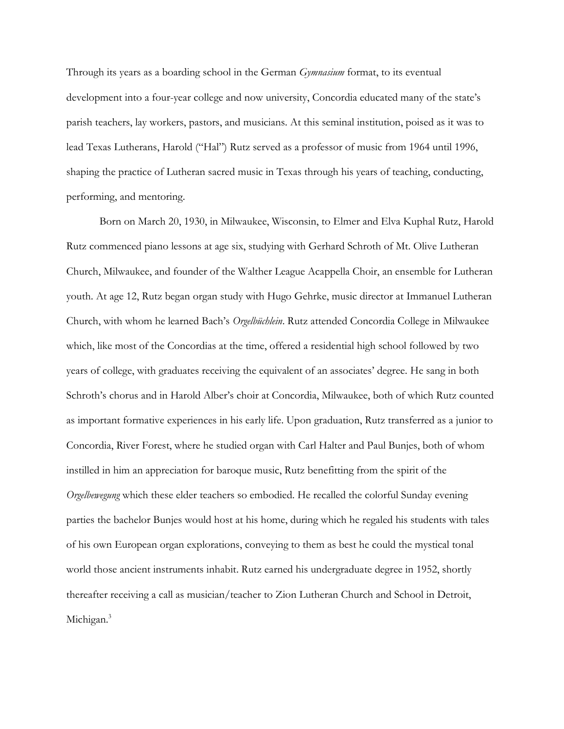Through its years as a boarding school in the German *Gymnasium* format, to its eventual development into a four-year college and now university, Concordia educated many of the state's parish teachers, lay workers, pastors, and musicians. At this seminal institution, poised as it was to lead Texas Lutherans, Harold ("Hal") Rutz served as a professor of music from 1964 until 1996, shaping the practice of Lutheran sacred music in Texas through his years of teaching, conducting, performing, and mentoring.

Born on March 20, 1930, in Milwaukee, Wisconsin, to Elmer and Elva Kuphal Rutz, Harold Rutz commenced piano lessons at age six, studying with Gerhard Schroth of Mt. Olive Lutheran Church, Milwaukee, and founder of the Walther League Acappella Choir, an ensemble for Lutheran youth. At age 12, Rutz began organ study with Hugo Gehrke, music director at Immanuel Lutheran Church, with whom he learned Bach's *Orgelbüchlein*. Rutz attended Concordia College in Milwaukee which, like most of the Concordias at the time, offered a residential high school followed by two years of college, with graduates receiving the equivalent of an associates' degree. He sang in both Schroth's chorus and in Harold Alber's choir at Concordia, Milwaukee, both of which Rutz counted as important formative experiences in his early life. Upon graduation, Rutz transferred as a junior to Concordia, River Forest, where he studied organ with Carl Halter and Paul Bunjes, both of whom instilled in him an appreciation for baroque music, Rutz benefitting from the spirit of the *Orgelbewegung* which these elder teachers so embodied. He recalled the colorful Sunday evening parties the bachelor Bunjes would host at his home, during which he regaled his students with tales of his own European organ explorations, conveying to them as best he could the mystical tonal world those ancient instruments inhabit. Rutz earned his undergraduate degree in 1952, shortly thereafter receiving a call as musician/teacher to Zion Lutheran Church and School in Detroit, Michigan.<sup>3</sup>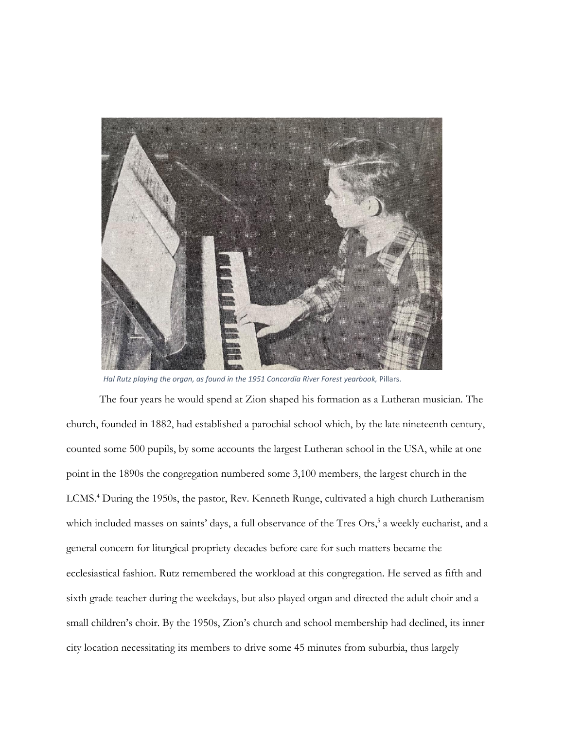

*Hal Rutz playing the organ, as found in the 1951 Concordia River Forest yearbook,* Pillars.

The four years he would spend at Zion shaped his formation as a Lutheran musician. The church, founded in 1882, had established a parochial school which, by the late nineteenth century, counted some 500 pupils, by some accounts the largest Lutheran school in the USA, while at one point in the 1890s the congregation numbered some 3,100 members, the largest church in the LCMS.<sup>4</sup> During the 1950s, the pastor, Rev. Kenneth Runge, cultivated a high church Lutheranism which included masses on saints' days, a full observance of the Tres Ors,<sup>5</sup> a weekly eucharist, and a general concern for liturgical propriety decades before care for such matters became the ecclesiastical fashion. Rutz remembered the workload at this congregation. He served as fifth and sixth grade teacher during the weekdays, but also played organ and directed the adult choir and a small children's choir. By the 1950s, Zion's church and school membership had declined, its inner city location necessitating its members to drive some 45 minutes from suburbia, thus largely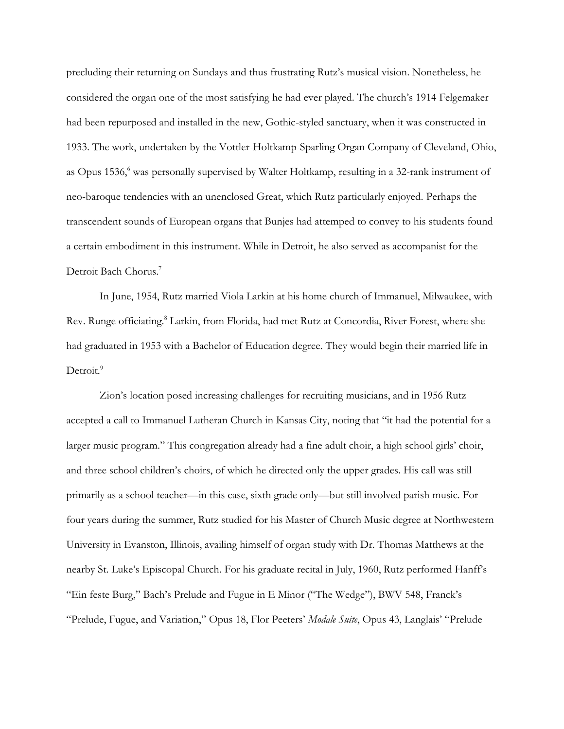precluding their returning on Sundays and thus frustrating Rutz's musical vision. Nonetheless, he considered the organ one of the most satisfying he had ever played. The church's 1914 Felgemaker had been repurposed and installed in the new, Gothic-styled sanctuary, when it was constructed in 1933. The work, undertaken by the Vottler-Holtkamp-Sparling Organ Company of Cleveland, Ohio, as Opus 1536,<sup>6</sup> was personally supervised by Walter Holtkamp, resulting in a 32-rank instrument of neo-baroque tendencies with an unenclosed Great, which Rutz particularly enjoyed. Perhaps the transcendent sounds of European organs that Bunjes had attemped to convey to his students found a certain embodiment in this instrument. While in Detroit, he also served as accompanist for the Detroit Bach Chorus.<sup>7</sup>

In June, 1954, Rutz married Viola Larkin at his home church of Immanuel, Milwaukee, with Rev. Runge officiating.<sup>8</sup> Larkin, from Florida, had met Rutz at Concordia, River Forest, where she had graduated in 1953 with a Bachelor of Education degree. They would begin their married life in Detroit.<sup>9</sup>

Zion's location posed increasing challenges for recruiting musicians, and in 1956 Rutz accepted a call to Immanuel Lutheran Church in Kansas City, noting that "it had the potential for a larger music program." This congregation already had a fine adult choir, a high school girls' choir, and three school children's choirs, of which he directed only the upper grades. His call was still primarily as a school teacher—in this case, sixth grade only—but still involved parish music. For four years during the summer, Rutz studied for his Master of Church Music degree at Northwestern University in Evanston, Illinois, availing himself of organ study with Dr. Thomas Matthews at the nearby St. Luke's Episcopal Church. For his graduate recital in July, 1960, Rutz performed Hanff's "Ein feste Burg," Bach's Prelude and Fugue in E Minor ("The Wedge"), BWV 548, Franck's "Prelude, Fugue, and Variation," Opus 18, Flor Peeters' *Modale Suite*, Opus 43, Langlais' "Prelude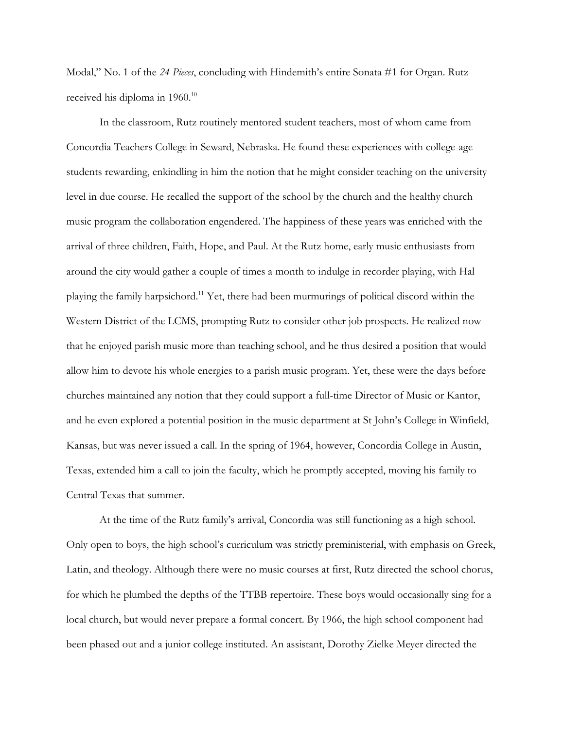Modal," No. 1 of the *24 Pieces*, concluding with Hindemith's entire Sonata #1 for Organ. Rutz received his diploma in 1960.<sup>10</sup>

In the classroom, Rutz routinely mentored student teachers, most of whom came from Concordia Teachers College in Seward, Nebraska. He found these experiences with college-age students rewarding, enkindling in him the notion that he might consider teaching on the university level in due course. He recalled the support of the school by the church and the healthy church music program the collaboration engendered. The happiness of these years was enriched with the arrival of three children, Faith, Hope, and Paul. At the Rutz home, early music enthusiasts from around the city would gather a couple of times a month to indulge in recorder playing, with Hal playing the family harpsichord.<sup>11</sup> Yet, there had been murmurings of political discord within the Western District of the LCMS, prompting Rutz to consider other job prospects. He realized now that he enjoyed parish music more than teaching school, and he thus desired a position that would allow him to devote his whole energies to a parish music program. Yet, these were the days before churches maintained any notion that they could support a full-time Director of Music or Kantor, and he even explored a potential position in the music department at St John's College in Winfield, Kansas, but was never issued a call. In the spring of 1964, however, Concordia College in Austin, Texas, extended him a call to join the faculty, which he promptly accepted, moving his family to Central Texas that summer.

At the time of the Rutz family's arrival, Concordia was still functioning as a high school. Only open to boys, the high school's curriculum was strictly preministerial, with emphasis on Greek, Latin, and theology. Although there were no music courses at first, Rutz directed the school chorus, for which he plumbed the depths of the TTBB repertoire. These boys would occasionally sing for a local church, but would never prepare a formal concert. By 1966, the high school component had been phased out and a junior college instituted. An assistant, Dorothy Zielke Meyer directed the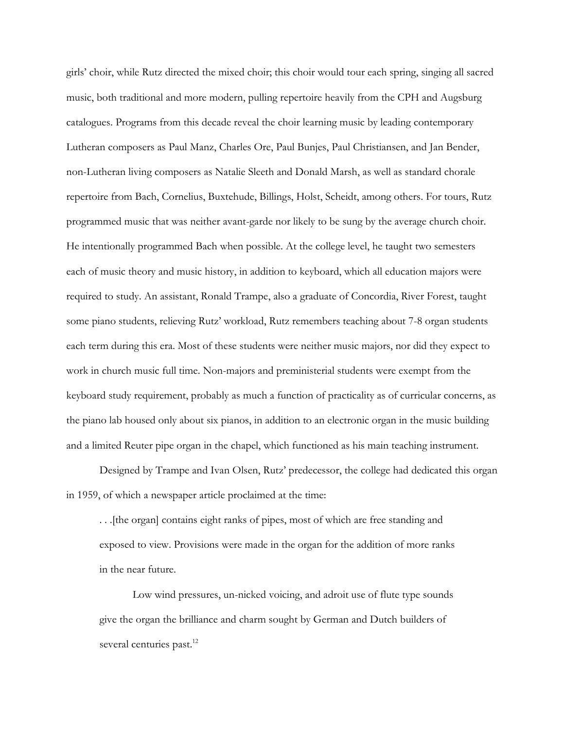girls' choir, while Rutz directed the mixed choir; this choir would tour each spring, singing all sacred music, both traditional and more modern, pulling repertoire heavily from the CPH and Augsburg catalogues. Programs from this decade reveal the choir learning music by leading contemporary Lutheran composers as Paul Manz, Charles Ore, Paul Bunjes, Paul Christiansen, and Jan Bender, non-Lutheran living composers as Natalie Sleeth and Donald Marsh, as well as standard chorale repertoire from Bach, Cornelius, Buxtehude, Billings, Holst, Scheidt, among others. For tours, Rutz programmed music that was neither avant-garde nor likely to be sung by the average church choir. He intentionally programmed Bach when possible. At the college level, he taught two semesters each of music theory and music history, in addition to keyboard, which all education majors were required to study. An assistant, Ronald Trampe, also a graduate of Concordia, River Forest, taught some piano students, relieving Rutz' workload, Rutz remembers teaching about 7-8 organ students each term during this era. Most of these students were neither music majors, nor did they expect to work in church music full time. Non-majors and preministerial students were exempt from the keyboard study requirement, probably as much a function of practicality as of curricular concerns, as the piano lab housed only about six pianos, in addition to an electronic organ in the music building and a limited Reuter pipe organ in the chapel, which functioned as his main teaching instrument.

Designed by Trampe and Ivan Olsen, Rutz' predecessor, the college had dedicated this organ in 1959, of which a newspaper article proclaimed at the time:

. . .[the organ] contains eight ranks of pipes, most of which are free standing and exposed to view. Provisions were made in the organ for the addition of more ranks in the near future.

Low wind pressures, un-nicked voicing, and adroit use of flute type sounds give the organ the brilliance and charm sought by German and Dutch builders of several centuries past.<sup>12</sup>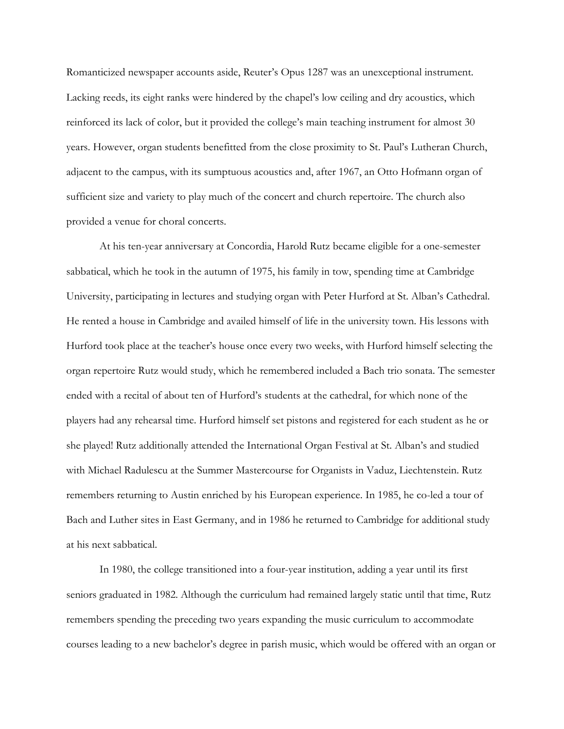Romanticized newspaper accounts aside, Reuter's Opus 1287 was an unexceptional instrument. Lacking reeds, its eight ranks were hindered by the chapel's low ceiling and dry acoustics, which reinforced its lack of color, but it provided the college's main teaching instrument for almost 30 years. However, organ students benefitted from the close proximity to St. Paul's Lutheran Church, adjacent to the campus, with its sumptuous acoustics and, after 1967, an Otto Hofmann organ of sufficient size and variety to play much of the concert and church repertoire. The church also provided a venue for choral concerts.

At his ten-year anniversary at Concordia, Harold Rutz became eligible for a one-semester sabbatical, which he took in the autumn of 1975, his family in tow, spending time at Cambridge University, participating in lectures and studying organ with Peter Hurford at St. Alban's Cathedral. He rented a house in Cambridge and availed himself of life in the university town. His lessons with Hurford took place at the teacher's house once every two weeks, with Hurford himself selecting the organ repertoire Rutz would study, which he remembered included a Bach trio sonata. The semester ended with a recital of about ten of Hurford's students at the cathedral, for which none of the players had any rehearsal time. Hurford himself set pistons and registered for each student as he or she played! Rutz additionally attended the International Organ Festival at St. Alban's and studied with Michael Radulescu at the Summer Mastercourse for Organists in Vaduz, Liechtenstein. Rutz remembers returning to Austin enriched by his European experience. In 1985, he co-led a tour of Bach and Luther sites in East Germany, and in 1986 he returned to Cambridge for additional study at his next sabbatical.

In 1980, the college transitioned into a four-year institution, adding a year until its first seniors graduated in 1982. Although the curriculum had remained largely static until that time, Rutz remembers spending the preceding two years expanding the music curriculum to accommodate courses leading to a new bachelor's degree in parish music, which would be offered with an organ or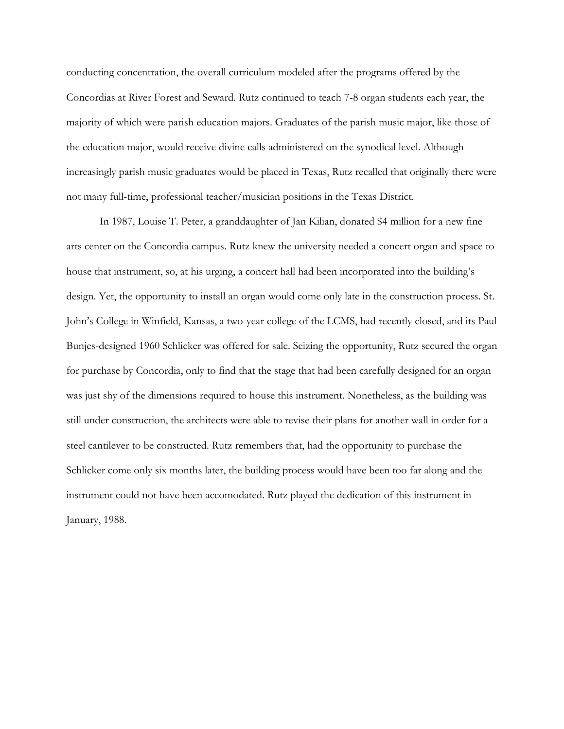conducting concentration, the overall curriculum modeled after the programs offered by the Concordias at River Forest and Seward. Rutz continued to teach 7-8 organ students each year, the majority of which were parish education majors. Graduates of the parish music major, like those of the education major, would receive divine calls administered on the synodical level. Although increasingly parish music graduates would be placed in Texas, Rutz recalled that originally there were not many full-time, professional teacher/musician positions in the Texas District.

In 1987, Louise T. Peter, a granddaughter of Jan Kilian, donated \$4 million for a new fine arts center on the Concordia campus. Rutz knew the university needed a concert organ and space to house that instrument, so, at his urging, a concert hall had been incorporated into the building's design. Yet, the opportunity to install an organ would come only late in the construction process. St. John's College in Winfield, Kansas, a two-year college of the LCMS, had recently closed, and its Paul Bunjes-designed 1960 Schlicker was offered for sale. Seizing the opportunity, Rutz secured the organ for purchase by Concordia, only to find that the stage that had been carefully designed for an organ was just shy of the dimensions required to house this instrument. Nonetheless, as the building was still under construction, the architects were able to revise their plans for another wall in order for a steel cantilever to be constructed. Rutz remembers that, had the opportunity to purchase the Schlicker come only six months later, the building process would have been too far along and the instrument could not have been accomodated. Rutz played the dedication of this instrument in January, 1988.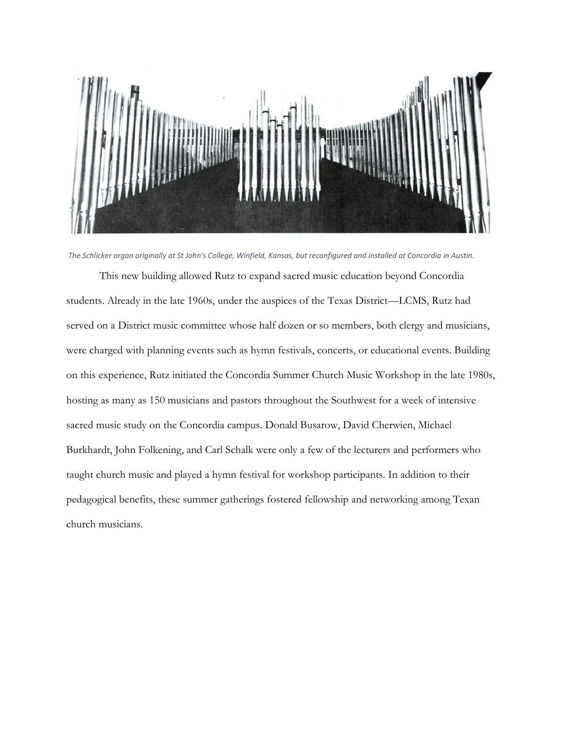

*The Schlicker organ originally at St John's College, Winfield, Kansas, but reconfigured and installed at Concordia in Austin.*

This new building allowed Rutz to expand sacred music education beyond Concordia students. Already in the late 1960s, under the auspices of the Texas District—LCMS, Rutz had served on a District music committee whose half dozen or so members, both clergy and musicians, were charged with planning events such as hymn festivals, concerts, or educational events. Building on this experience, Rutz initiated the Concordia Summer Church Music Workshop in the late 1980s, hosting as many as 150 musicians and pastors throughout the Southwest for a week of intensive sacred music study on the Concordia campus. Donald Busarow, David Cherwien, Michael Burkhardt, John Folkening, and Carl Schalk were only a few of the lecturers and performers who taught church music and played a hymn festival for workshop participants. In addition to their pedagogical benefits, these summer gatherings fostered fellowship and networking among Texan church musicians.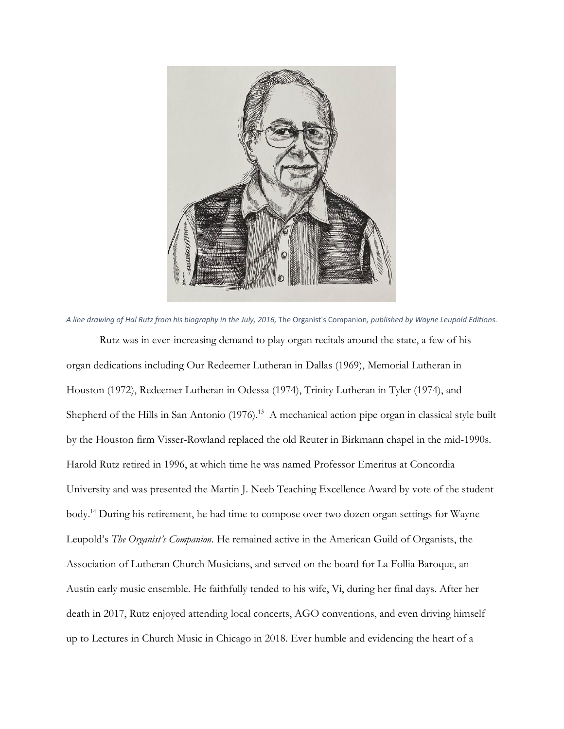

*A line drawing of Hal Rutz from his biography in the July, 2016,* The Organist's Companion*, published by Wayne Leupold Editions.*

Rutz was in ever-increasing demand to play organ recitals around the state, a few of his organ dedications including Our Redeemer Lutheran in Dallas (1969), Memorial Lutheran in Houston (1972), Redeemer Lutheran in Odessa (1974), Trinity Lutheran in Tyler (1974), and Shepherd of the Hills in San Antonio (1976).<sup>13</sup> A mechanical action pipe organ in classical style built by the Houston firm Visser-Rowland replaced the old Reuter in Birkmann chapel in the mid-1990s. Harold Rutz retired in 1996, at which time he was named Professor Emeritus at Concordia University and was presented the Martin J. Neeb Teaching Excellence Award by vote of the student body. <sup>14</sup> During his retirement, he had time to compose over two dozen organ settings for Wayne Leupold's *The Organist's Companion.* He remained active in the American Guild of Organists, the Association of Lutheran Church Musicians, and served on the board for La Follia Baroque, an Austin early music ensemble. He faithfully tended to his wife, Vi, during her final days. After her death in 2017, Rutz enjoyed attending local concerts, AGO conventions, and even driving himself up to Lectures in Church Music in Chicago in 2018. Ever humble and evidencing the heart of a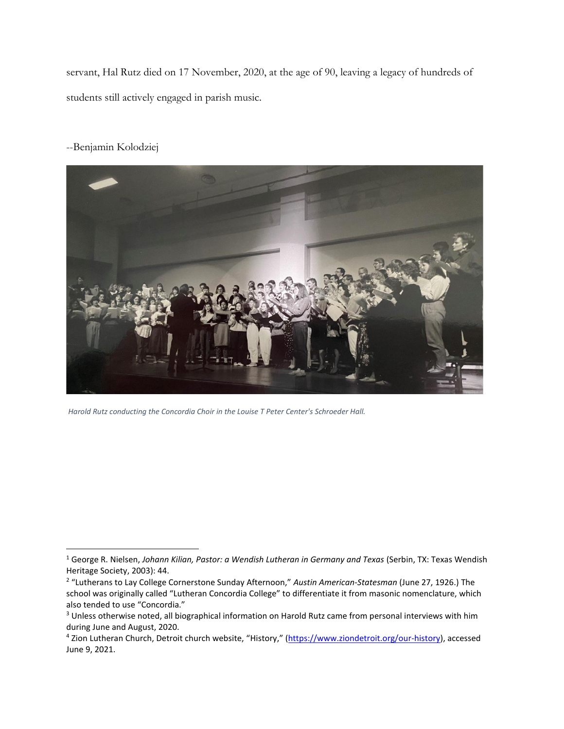servant, Hal Rutz died on 17 November, 2020, at the age of 90, leaving a legacy of hundreds of students still actively engaged in parish music.

## --Benjamin Kolodziej



*Harold Rutz conducting the Concordia Choir in the Louise T Peter Center's Schroeder Hall.*

<sup>1</sup> George R. Nielsen, *Johann Kilian, Pastor: a Wendish Lutheran in Germany and Texas* (Serbin, TX: Texas Wendish Heritage Society, 2003): 44.

<sup>2</sup> "Lutherans to Lay College Cornerstone Sunday Afternoon," *Austin American-Statesman* (June 27, 1926.) The school was originally called "Lutheran Concordia College" to differentiate it from masonic nomenclature, which also tended to use "Concordia."

<sup>&</sup>lt;sup>3</sup> Unless otherwise noted, all biographical information on Harold Rutz came from personal interviews with him during June and August, 2020.

<sup>&</sup>lt;sup>4</sup> Zion Lutheran Church, Detroit church website, "History," ([https://www.ziondetroit.org/our-history\)](https://www.ziondetroit.org/our-history), accessed June 9, 2021.